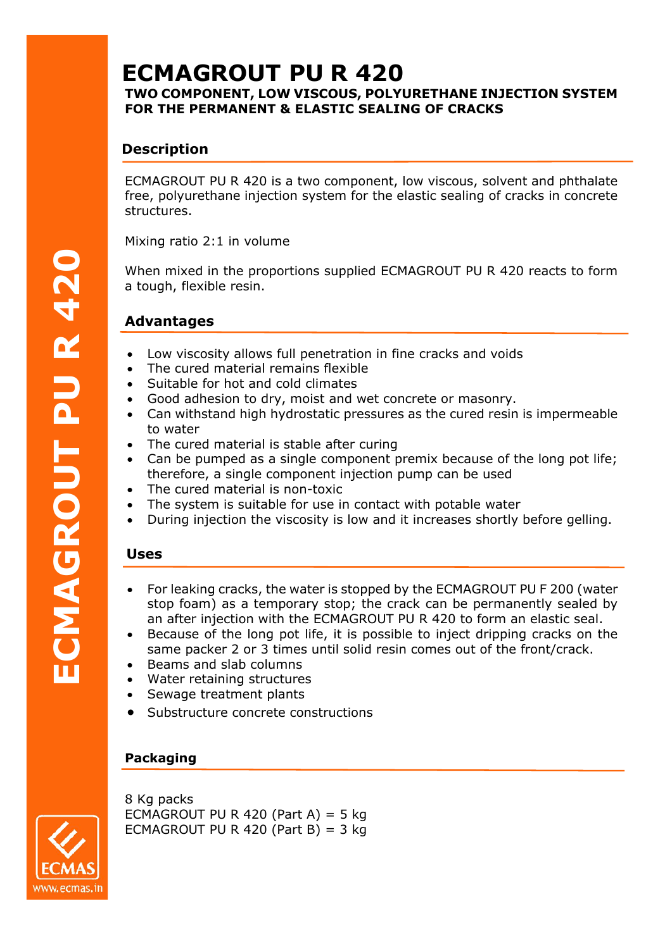# **ECMAGROUT PU R 420**

## **TWO COMPONENT, LOW VISCOUS, POLYURETHANE INJECTION SYSTEM FOR THE PERMANENT & ELASTIC SEALING OF CRACKS**

# **Description**

ECMAGROUT PU R 420 is a two component, low viscous, solvent and phthalate free, polyurethane injection system for the elastic sealing of cracks in concrete structures.

Mixing ratio 2:1 in volume

When mixed in the proportions supplied ECMAGROUT PU R 420 reacts to form a tough, flexible resin.

# **Advantages**

- Low viscosity allows full penetration in fine cracks and voids
- The cured material remains flexible
- Suitable for hot and cold climates
- Good adhesion to dry, moist and wet concrete or masonry.
- Can withstand high hydrostatic pressures as the cured resin is impermeable to water
- The cured material is stable after curing
- Can be pumped as a single component premix because of the long pot life; therefore, a single component injection pump can be used
- The cured material is non-toxic
- The system is suitable for use in contact with potable water
- During injection the viscosity is low and it increases shortly before gelling.

# **Uses**

- For leaking cracks, the water is stopped by the ECMAGROUT PU F 200 (water stop foam) as a temporary stop; the crack can be permanently sealed by an after injection with the ECMAGROUT PU R 420 to form an elastic seal.
- Because of the long pot life, it is possible to inject dripping cracks on the same packer 2 or 3 times until solid resin comes out of the front/crack.
- Beams and slab columns
- Water retaining structures
- Sewage treatment plants
- Substructure concrete constructions

# **Packaging**



8 Kg packs ECMAGROUT PU R 420 (Part A) = 5 kg ECMAGROUT PU R 420 (Part B) =  $3$  kg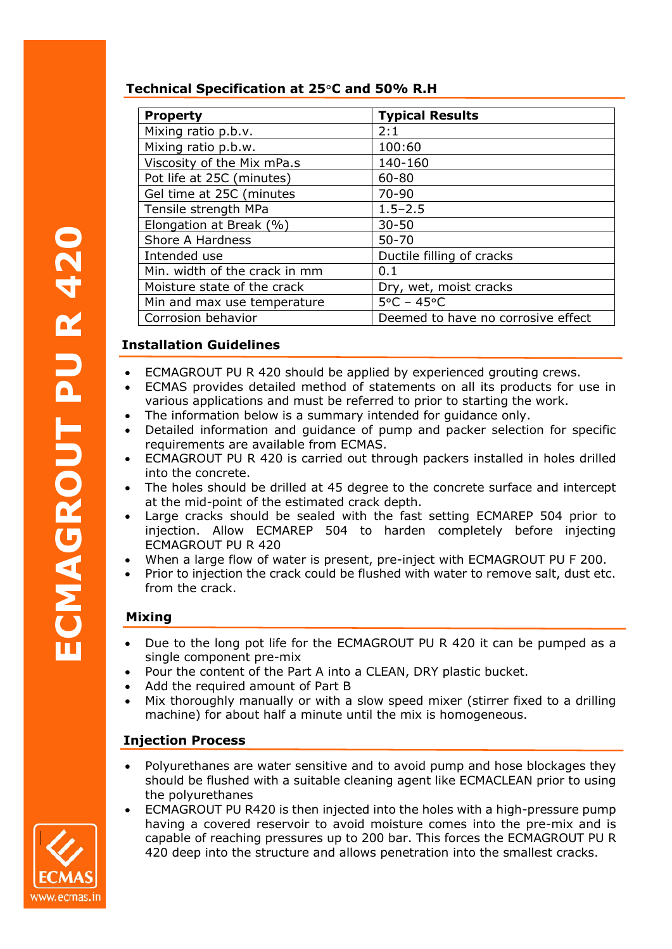## **Technical Specification at 25**°**C and 50% R.H**

| <b>Property</b>               | <b>Typical Results</b>             |
|-------------------------------|------------------------------------|
| Mixing ratio p.b.v.           | 2:1                                |
| Mixing ratio p.b.w.           | 100:60                             |
| Viscosity of the Mix mPa.s    | 140-160                            |
| Pot life at 25C (minutes)     | 60-80                              |
| Gel time at 25C (minutes      | 70-90                              |
| Tensile strength MPa          | $1.5 - 2.5$                        |
| Elongation at Break (%)       | $30 - 50$                          |
| Shore A Hardness              | $50 - 70$                          |
| Intended use                  | Ductile filling of cracks          |
| Min. width of the crack in mm | 0.1                                |
| Moisture state of the crack   | Dry, wet, moist cracks             |
| Min and max use temperature   | $5^{\circ}$ C - 45 $^{\circ}$ C    |
| Corrosion behavior            | Deemed to have no corrosive effect |

# **Installation Guidelines**

- ECMAGROUT PU R 420 should be applied by experienced grouting crews.
- ECMAS provides detailed method of statements on all its products for use in various applications and must be referred to prior to starting the work.
- The information below is a summary intended for quidance only.
- Detailed information and guidance of pump and packer selection for specific requirements are available from ECMAS.
- ECMAGROUT PU R 420 is carried out through packers installed in holes drilled into the concrete.
- The holes should be drilled at 45 degree to the concrete surface and intercept at the mid-point of the estimated crack depth.
- Large cracks should be sealed with the fast setting ECMAREP 504 prior to injection. Allow ECMAREP 504 to harden completely before injecting ECMAGROUT PU R 420 **PUFPURE**<br> **PUFPURE**<br> **PUFPURE** 
	- When a large flow of water is present, pre-inject with ECMAGROUT PU F 200.
	- Prior to injection the crack could be flushed with water to remove salt, dust etc. from the crack.

# **Mixing**

- Due to the long pot life for the ECMAGROUT PU R 420 it can be pumped as a single component pre-mix
- Pour the content of the Part A into a CLEAN, DRY plastic bucket.
- Add the required amount of Part B
- Mix thoroughly manually or with a slow speed mixer (stirrer fixed to a drilling machine) for about half a minute until the mix is homogeneous.

# **Injection Process**

- Polyurethanes are water sensitive and to avoid pump and hose blockages they should be flushed with a suitable cleaning agent like ECMACLEAN prior to using the polyurethanes
- ECMAGROUT PU R420 is then injected into the holes with a high-pressure pump having a covered reservoir to avoid moisture comes into the pre-mix and is capable of reaching pressures up to 200 bar. This forces the ECMAGROUT PU R 420 deep into the structure and allows penetration into the smallest cracks.